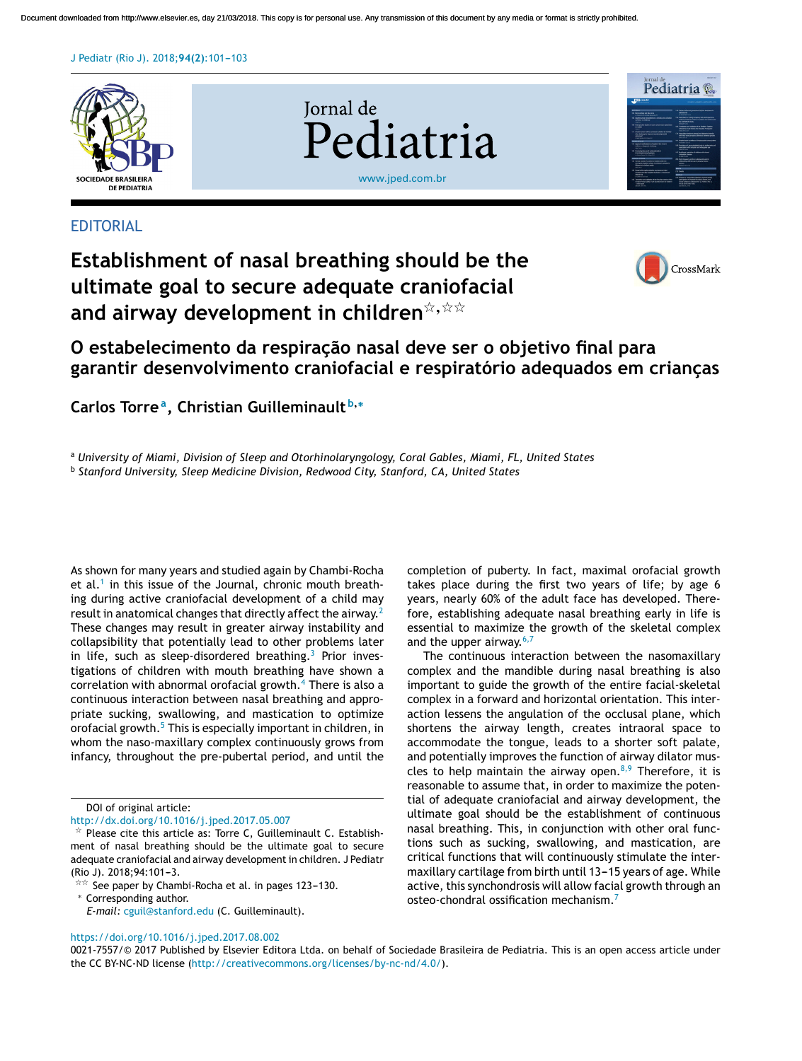#### J Pediatr (Rio J). 2018; 94(2): 101-103



### **EDITORIAL**

# **Establishment of nasal breathing should be the ultimate goal to secure adequate craniofacial**  $% \mathbb{R}$  and airway development in children $\mathbb{R}^{+,\star}$



## **O estabelecimento da respirac¸ão nasal deve ser o objetivo final para garantir desenvolvimento craniofacial e respiratório adequados em crianc¸as**

**Carlos Torre<sup>a</sup> , Christian Guilleminault <sup>b</sup>**,<sup>∗</sup>

<sup>a</sup> *University of Miami, Division of Sleep and Otorhinolaryngology, Coral Gables, Miami, FL, United States*

b *Stanford University, Sleep Medicine Division, Redwood City, Stanford, CA, United States*

As shown for many years and studied again by Chambi-Rocha et al.<sup>1</sup> in this issue of the Journal, chronic mouth breathing during active craniofacial development of a child may result in anatomical changes that directly affect the airway.<sup>2</sup> These changes may result in greater airway instability and collapsibility that potentially lead to other problems later in life, such as sleep-disordered breathing.<sup>3</sup> Prior investigations of children with mouth breathing have shown a correlation with abnormal orofacial growth.<sup>4</sup> There is also a continuous interaction between nasal breathing and appropriate sucking, swallowing, and mastication to optimize orofacial growth.<sup>5</sup> This is especially important in children, in whom the naso-maxillary complex continuously grows from infancy, throughout the pre-pubertal period, and until the

completion of puberty. In fact, maximal orofacial growth takes place during the first two years of life; by age 6 years, nearly 60% of the adult face has developed. Therefore, establishing adequate nasal breathing early in life is essential to maximize the growth of the skeletal complex and the upper airway.<sup>6,7</sup>

The continuous interaction between the nasomaxillary complex and the mandible during nasal breathing is also important to guide the growth of the entire facial-skeletal complex in a forward and horizontal orientation. This interaction lessens the angulation of the occlusal plane, which shortens the airway length, creates intraoral space to accommodate the tongue, leads to a shorter soft palate, and potentially improves the function of airway dilator muscles to help maintain the airway open.<sup>8,9</sup> Therefore, it is reasonable to assume that, in order to maximize the potential of adequate craniofacial and airway development, the ultimate goal should be the establishment of continuous nasal breathing. This, in conjunction with other oral functions such as sucking, swallowing, and mastication, are critical functions that will continuously stimulate the intermaxillary cartilage from birth until 13-15 years of age. While active, this synchondrosis will allow facial growth through an osteo-chondral ossification mechanism.<sup>7</sup>

#### <https://doi.org/10.1016/j.jped.2017.08.002>

DOI of original article:

<http://dx.doi.org/10.1016/j.jped.2017.05.007>

 $*$  Please cite this article as: Torre C, Guilleminault C. Establishment of nasal breathing should be the ultimate goal to secure adequate craniofacial and airway development in children. J Pediatr (Rio J). 2018;94:101-3.

 $\frac{1}{2}$  See paper by Chambi-Rocha et al. in pages 123–130. <sup>∗</sup> Corresponding author.

*E-mail:* [cguil@stanford.edu](mailto:cguil@stanford.edu) (C. Guilleminault).

<sup>0021-7557/©</sup> 2017 Published by Elsevier Editora Ltda. on behalf of Sociedade Brasileira de Pediatria. This is an open access article under the CC BY-NC-ND license [\(http://creativecommons.org/licenses/by-nc-nd/4.0/](http://creativecommons.org/licenses/by-nc-nd/4.0/)).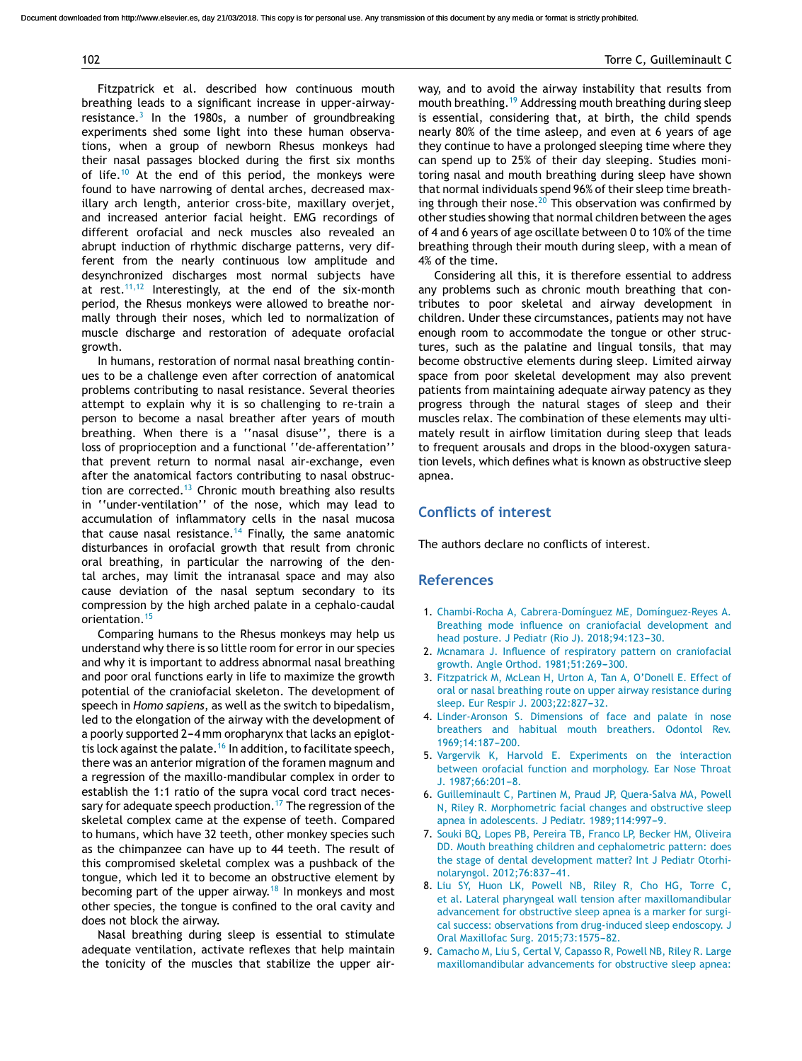#### 102 Torre C, Guilleminault C

Fitzpatrick et al. described how continuous mouth breathing leads to a significant increase in upper-airwayresistance.<sup>3</sup> In the 1980s, a number of groundbreaking experiments shed some light into these human observations, when a group of newborn Rhesus monkeys had their nasal passages blocked during the first six months of life.<sup>10</sup> At the end of this period, the monkeys were found to have narrowing of dental arches, decreased maxillary arch length, anterior cross-bite, maxillary overjet, and increased anterior facial height. EMG recordings of different orofacial and neck muscles also revealed an abrupt induction of rhythmic discharge patterns, very different from the nearly continuous low amplitude and desynchronized discharges most normal subjects have at rest.<sup>11,12</sup> Interestingly, at the end of the six-month period, the Rhesus monkeys were allowed to breathe normally through their noses, which led to normalization of muscle discharge and restoration of adequate orofacial growth.

In humans, restoration of normal nasal breathing continues to be a challenge even after correction of anatomical problems contributing to nasal resistance. Several theories attempt to explain why it is so challenging to re-train a person to become a nasal breather after years of mouth breathing. When there is a ''nasal disuse'', there is a loss of proprioception and a functional ''de-afferentation'' that prevent return to normal nasal air-exchange, even after the anatomical factors contributing to nasal obstruction are corrected.<sup>13</sup> Chronic mouth breathing also results in ''under-ventilation'' of the nose, which may lead to accumulation of inflammatory cells in the nasal mucosa that cause nasal resistance.<sup>14</sup> Finally, the same anatomic disturbances in orofacial growth that result from chronic oral breathing, in particular the narrowing of the dental arches, may limit the intranasal space and may also cause deviation of the nasal septum secondary to its compression by the high arched palate in a cephalo-caudal orientation.<sup>15</sup>

Comparing humans to the Rhesus monkeys may help us understand why there is so little room for error in our species and why it is important to address abnormal nasal breathing and poor oral functions early in life to maximize the growth potential of the craniofacial skeleton. The development of speech in *Homo sapiens*, as well as the switch to bipedalism, led to the elongation of the airway with the development of a poorly supported 2-4 mm oropharynx that lacks an epiglottis lock against the palate.<sup>16</sup> In addition, to facilitate speech, there was an anterior migration of the foramen magnum and a regression of the maxillo-mandibular complex in order to establish the 1:1 ratio of the supra vocal cord tract necessary for adequate speech production.<sup>17</sup> The regression of the skeletal complex came at the expense of teeth. Compared to humans, which have 32 teeth, other monkey species such as the chimpanzee can have up to 44 teeth. The result of this compromised skeletal complex was a pushback of the tongue, which led it to become an obstructive element by becoming part of the upper airway.<sup>18</sup> In monkeys and most other species, the tongue is confined to the oral cavity and does not block the airway.

Nasal breathing during sleep is essential to stimulate adequate ventilation, activate reflexes that help maintain the tonicity of the muscles that stabilize the upper airway, and to avoid the airway instability that results from mouth breathing.<sup>19</sup> Addressing mouth breathing during sleep is essential, considering that, at birth, the child spends nearly 80% of the time asleep, and even at 6 years of age they continue to have a prolonged sleeping time where they can spend up to 25% of their day sleeping. Studies monitoring nasal and mouth breathing during sleep have shown that normal individuals spend 96% of their sleep time breathing through their nose. $20$  This observation was confirmed by other studies showing that normal children between the ages of 4 and 6 years of age oscillate between 0 to 10% of the time breathing through their mouth during sleep, with a mean of 4% of the time.

Considering all this, it is therefore essential to address any problems such as chronic mouth breathing that contributes to poor skeletal and airway development in children. Under these circumstances, patients may not have enough room to accommodate the tongue or other structures, such as the palatine and lingual tonsils, that may become obstructive elements during sleep. Limited airway space from poor skeletal development may also prevent patients from maintaining adequate airway patency as they progress through the natural stages of sleep and their muscles relax. The combination of these elements may ultimately result in airflow limitation during sleep that leads to frequent arousals and drops in the blood-oxygen saturation levels, which defines what is known as obstructive sleep apnea.

#### **Conflicts of interest**

The authors declare no conflicts of interest.

#### **References**

- 1. [Chambi-Rocha](http://refhub.elsevier.com/S0021-7557(17)30831-8/sbref0105) [A,](http://refhub.elsevier.com/S0021-7557(17)30831-8/sbref0105) [Cabrera-Domínguez](http://refhub.elsevier.com/S0021-7557(17)30831-8/sbref0105) [ME,](http://refhub.elsevier.com/S0021-7557(17)30831-8/sbref0105) [Domínguez-Reyes](http://refhub.elsevier.com/S0021-7557(17)30831-8/sbref0105) [A.](http://refhub.elsevier.com/S0021-7557(17)30831-8/sbref0105) [Breathing](http://refhub.elsevier.com/S0021-7557(17)30831-8/sbref0105) [mode](http://refhub.elsevier.com/S0021-7557(17)30831-8/sbref0105) [influence](http://refhub.elsevier.com/S0021-7557(17)30831-8/sbref0105) [on](http://refhub.elsevier.com/S0021-7557(17)30831-8/sbref0105) [craniofacial](http://refhub.elsevier.com/S0021-7557(17)30831-8/sbref0105) [development](http://refhub.elsevier.com/S0021-7557(17)30831-8/sbref0105) [and](http://refhub.elsevier.com/S0021-7557(17)30831-8/sbref0105) [head](http://refhub.elsevier.com/S0021-7557(17)30831-8/sbref0105) [posture.](http://refhub.elsevier.com/S0021-7557(17)30831-8/sbref0105) [J](http://refhub.elsevier.com/S0021-7557(17)30831-8/sbref0105) [Pediatr](http://refhub.elsevier.com/S0021-7557(17)30831-8/sbref0105) [\(Rio](http://refhub.elsevier.com/S0021-7557(17)30831-8/sbref0105) [J\).](http://refhub.elsevier.com/S0021-7557(17)30831-8/sbref0105) 2018;94:123-30.
- 2. [Mcnamara](http://refhub.elsevier.com/S0021-7557(17)30831-8/sbref0110) [J.](http://refhub.elsevier.com/S0021-7557(17)30831-8/sbref0110) [Influence](http://refhub.elsevier.com/S0021-7557(17)30831-8/sbref0110) [of](http://refhub.elsevier.com/S0021-7557(17)30831-8/sbref0110) [respiratory](http://refhub.elsevier.com/S0021-7557(17)30831-8/sbref0110) [pattern](http://refhub.elsevier.com/S0021-7557(17)30831-8/sbref0110) [on](http://refhub.elsevier.com/S0021-7557(17)30831-8/sbref0110) [craniofacial](http://refhub.elsevier.com/S0021-7557(17)30831-8/sbref0110) [growth.](http://refhub.elsevier.com/S0021-7557(17)30831-8/sbref0110) [Angle](http://refhub.elsevier.com/S0021-7557(17)30831-8/sbref0110) [Orthod.](http://refhub.elsevier.com/S0021-7557(17)30831-8/sbref0110) 1981;51:269-300.
- 3. [Fitzpatrick](http://refhub.elsevier.com/S0021-7557(17)30831-8/sbref0115) [M,](http://refhub.elsevier.com/S0021-7557(17)30831-8/sbref0115) [McLean](http://refhub.elsevier.com/S0021-7557(17)30831-8/sbref0115) [H,](http://refhub.elsevier.com/S0021-7557(17)30831-8/sbref0115) [Urton](http://refhub.elsevier.com/S0021-7557(17)30831-8/sbref0115) [A,](http://refhub.elsevier.com/S0021-7557(17)30831-8/sbref0115) [Tan](http://refhub.elsevier.com/S0021-7557(17)30831-8/sbref0115) [A,](http://refhub.elsevier.com/S0021-7557(17)30831-8/sbref0115) [O'Donell](http://refhub.elsevier.com/S0021-7557(17)30831-8/sbref0115) [E.](http://refhub.elsevier.com/S0021-7557(17)30831-8/sbref0115) [Effect](http://refhub.elsevier.com/S0021-7557(17)30831-8/sbref0115) [of](http://refhub.elsevier.com/S0021-7557(17)30831-8/sbref0115) [oral](http://refhub.elsevier.com/S0021-7557(17)30831-8/sbref0115) [or](http://refhub.elsevier.com/S0021-7557(17)30831-8/sbref0115) [nasal](http://refhub.elsevier.com/S0021-7557(17)30831-8/sbref0115) [breathing](http://refhub.elsevier.com/S0021-7557(17)30831-8/sbref0115) [route](http://refhub.elsevier.com/S0021-7557(17)30831-8/sbref0115) [on](http://refhub.elsevier.com/S0021-7557(17)30831-8/sbref0115) [upper](http://refhub.elsevier.com/S0021-7557(17)30831-8/sbref0115) [airway](http://refhub.elsevier.com/S0021-7557(17)30831-8/sbref0115) [resistance](http://refhub.elsevier.com/S0021-7557(17)30831-8/sbref0115) [during](http://refhub.elsevier.com/S0021-7557(17)30831-8/sbref0115) [sleep.](http://refhub.elsevier.com/S0021-7557(17)30831-8/sbref0115) [Eur](http://refhub.elsevier.com/S0021-7557(17)30831-8/sbref0115) [Respir](http://refhub.elsevier.com/S0021-7557(17)30831-8/sbref0115) [J.](http://refhub.elsevier.com/S0021-7557(17)30831-8/sbref0115) 2003;22:827-32.
- 4. [Linder-Aronson](http://refhub.elsevier.com/S0021-7557(17)30831-8/sbref0120) [S.](http://refhub.elsevier.com/S0021-7557(17)30831-8/sbref0120) [Dimensions](http://refhub.elsevier.com/S0021-7557(17)30831-8/sbref0120) [of](http://refhub.elsevier.com/S0021-7557(17)30831-8/sbref0120) [face](http://refhub.elsevier.com/S0021-7557(17)30831-8/sbref0120) [and](http://refhub.elsevier.com/S0021-7557(17)30831-8/sbref0120) [palate](http://refhub.elsevier.com/S0021-7557(17)30831-8/sbref0120) [in](http://refhub.elsevier.com/S0021-7557(17)30831-8/sbref0120) [nose](http://refhub.elsevier.com/S0021-7557(17)30831-8/sbref0120) [breathers](http://refhub.elsevier.com/S0021-7557(17)30831-8/sbref0120) [and](http://refhub.elsevier.com/S0021-7557(17)30831-8/sbref0120) [habitual](http://refhub.elsevier.com/S0021-7557(17)30831-8/sbref0120) [mouth](http://refhub.elsevier.com/S0021-7557(17)30831-8/sbref0120) [breathers.](http://refhub.elsevier.com/S0021-7557(17)30831-8/sbref0120) [Odontol](http://refhub.elsevier.com/S0021-7557(17)30831-8/sbref0120) [Rev.](http://refhub.elsevier.com/S0021-7557(17)30831-8/sbref0120) 1969;14:187-200.
- 5. [Vargervik](http://refhub.elsevier.com/S0021-7557(17)30831-8/sbref0125) [K,](http://refhub.elsevier.com/S0021-7557(17)30831-8/sbref0125) [Harvold](http://refhub.elsevier.com/S0021-7557(17)30831-8/sbref0125) [E.](http://refhub.elsevier.com/S0021-7557(17)30831-8/sbref0125) [Experiments](http://refhub.elsevier.com/S0021-7557(17)30831-8/sbref0125) [on](http://refhub.elsevier.com/S0021-7557(17)30831-8/sbref0125) [the](http://refhub.elsevier.com/S0021-7557(17)30831-8/sbref0125) [interaction](http://refhub.elsevier.com/S0021-7557(17)30831-8/sbref0125) [between](http://refhub.elsevier.com/S0021-7557(17)30831-8/sbref0125) [orofacial](http://refhub.elsevier.com/S0021-7557(17)30831-8/sbref0125) [function](http://refhub.elsevier.com/S0021-7557(17)30831-8/sbref0125) [and](http://refhub.elsevier.com/S0021-7557(17)30831-8/sbref0125) [morphology.](http://refhub.elsevier.com/S0021-7557(17)30831-8/sbref0125) [Ear](http://refhub.elsevier.com/S0021-7557(17)30831-8/sbref0125) [Nose](http://refhub.elsevier.com/S0021-7557(17)30831-8/sbref0125) [Throat](http://refhub.elsevier.com/S0021-7557(17)30831-8/sbref0125)  $J. 1987:66:201-8.$  $J. 1987:66:201-8.$
- 6. [Guilleminault](http://refhub.elsevier.com/S0021-7557(17)30831-8/sbref0130) [C,](http://refhub.elsevier.com/S0021-7557(17)30831-8/sbref0130) [Partinen](http://refhub.elsevier.com/S0021-7557(17)30831-8/sbref0130) [M,](http://refhub.elsevier.com/S0021-7557(17)30831-8/sbref0130) [Praud](http://refhub.elsevier.com/S0021-7557(17)30831-8/sbref0130) [JP,](http://refhub.elsevier.com/S0021-7557(17)30831-8/sbref0130) [Quera-Salva](http://refhub.elsevier.com/S0021-7557(17)30831-8/sbref0130) [MA,](http://refhub.elsevier.com/S0021-7557(17)30831-8/sbref0130) [Powell](http://refhub.elsevier.com/S0021-7557(17)30831-8/sbref0130) [N,](http://refhub.elsevier.com/S0021-7557(17)30831-8/sbref0130) [Riley](http://refhub.elsevier.com/S0021-7557(17)30831-8/sbref0130) [R.](http://refhub.elsevier.com/S0021-7557(17)30831-8/sbref0130) [Morphometric](http://refhub.elsevier.com/S0021-7557(17)30831-8/sbref0130) [facial](http://refhub.elsevier.com/S0021-7557(17)30831-8/sbref0130) [changes](http://refhub.elsevier.com/S0021-7557(17)30831-8/sbref0130) [and](http://refhub.elsevier.com/S0021-7557(17)30831-8/sbref0130) [obstructive](http://refhub.elsevier.com/S0021-7557(17)30831-8/sbref0130) [sleep](http://refhub.elsevier.com/S0021-7557(17)30831-8/sbref0130) [apnea](http://refhub.elsevier.com/S0021-7557(17)30831-8/sbref0130) [in](http://refhub.elsevier.com/S0021-7557(17)30831-8/sbref0130) [adolescents.](http://refhub.elsevier.com/S0021-7557(17)30831-8/sbref0130) [J](http://refhub.elsevier.com/S0021-7557(17)30831-8/sbref0130) [Pediatr.](http://refhub.elsevier.com/S0021-7557(17)30831-8/sbref0130) [1989;114:997](http://refhub.elsevier.com/S0021-7557(17)30831-8/sbref0130)-[9.](http://refhub.elsevier.com/S0021-7557(17)30831-8/sbref0130)
- 7. [Souki](http://refhub.elsevier.com/S0021-7557(17)30831-8/sbref0135) [BQ,](http://refhub.elsevier.com/S0021-7557(17)30831-8/sbref0135) [Lopes](http://refhub.elsevier.com/S0021-7557(17)30831-8/sbref0135) [PB,](http://refhub.elsevier.com/S0021-7557(17)30831-8/sbref0135) [Pereira](http://refhub.elsevier.com/S0021-7557(17)30831-8/sbref0135) [TB,](http://refhub.elsevier.com/S0021-7557(17)30831-8/sbref0135) [Franco](http://refhub.elsevier.com/S0021-7557(17)30831-8/sbref0135) [LP,](http://refhub.elsevier.com/S0021-7557(17)30831-8/sbref0135) [Becker](http://refhub.elsevier.com/S0021-7557(17)30831-8/sbref0135) [HM,](http://refhub.elsevier.com/S0021-7557(17)30831-8/sbref0135) [Oliveira](http://refhub.elsevier.com/S0021-7557(17)30831-8/sbref0135) [DD.](http://refhub.elsevier.com/S0021-7557(17)30831-8/sbref0135) [Mouth](http://refhub.elsevier.com/S0021-7557(17)30831-8/sbref0135) [breathing](http://refhub.elsevier.com/S0021-7557(17)30831-8/sbref0135) [children](http://refhub.elsevier.com/S0021-7557(17)30831-8/sbref0135) [and](http://refhub.elsevier.com/S0021-7557(17)30831-8/sbref0135) [cephalometric](http://refhub.elsevier.com/S0021-7557(17)30831-8/sbref0135) [pattern:](http://refhub.elsevier.com/S0021-7557(17)30831-8/sbref0135) [does](http://refhub.elsevier.com/S0021-7557(17)30831-8/sbref0135) [the](http://refhub.elsevier.com/S0021-7557(17)30831-8/sbref0135) [stage](http://refhub.elsevier.com/S0021-7557(17)30831-8/sbref0135) [of](http://refhub.elsevier.com/S0021-7557(17)30831-8/sbref0135) [dental](http://refhub.elsevier.com/S0021-7557(17)30831-8/sbref0135) [development](http://refhub.elsevier.com/S0021-7557(17)30831-8/sbref0135) [matter?](http://refhub.elsevier.com/S0021-7557(17)30831-8/sbref0135) [Int](http://refhub.elsevier.com/S0021-7557(17)30831-8/sbref0135) [J](http://refhub.elsevier.com/S0021-7557(17)30831-8/sbref0135) [Pediatr](http://refhub.elsevier.com/S0021-7557(17)30831-8/sbref0135) [Otorhi](http://refhub.elsevier.com/S0021-7557(17)30831-8/sbref0135)[nolaryngol.](http://refhub.elsevier.com/S0021-7557(17)30831-8/sbref0135) [2012;76:837-](http://refhub.elsevier.com/S0021-7557(17)30831-8/sbref0135)[41.](http://refhub.elsevier.com/S0021-7557(17)30831-8/sbref0135)
- 8. [Liu](http://refhub.elsevier.com/S0021-7557(17)30831-8/sbref0140) [SY,](http://refhub.elsevier.com/S0021-7557(17)30831-8/sbref0140) [Huon](http://refhub.elsevier.com/S0021-7557(17)30831-8/sbref0140) [LK,](http://refhub.elsevier.com/S0021-7557(17)30831-8/sbref0140) [Powell](http://refhub.elsevier.com/S0021-7557(17)30831-8/sbref0140) [NB,](http://refhub.elsevier.com/S0021-7557(17)30831-8/sbref0140) [Riley](http://refhub.elsevier.com/S0021-7557(17)30831-8/sbref0140) [R,](http://refhub.elsevier.com/S0021-7557(17)30831-8/sbref0140) [Cho](http://refhub.elsevier.com/S0021-7557(17)30831-8/sbref0140) [HG,](http://refhub.elsevier.com/S0021-7557(17)30831-8/sbref0140) [Torre](http://refhub.elsevier.com/S0021-7557(17)30831-8/sbref0140) [C,](http://refhub.elsevier.com/S0021-7557(17)30831-8/sbref0140) [et](http://refhub.elsevier.com/S0021-7557(17)30831-8/sbref0140) [al.](http://refhub.elsevier.com/S0021-7557(17)30831-8/sbref0140) [Lateral](http://refhub.elsevier.com/S0021-7557(17)30831-8/sbref0140) [pharyngeal](http://refhub.elsevier.com/S0021-7557(17)30831-8/sbref0140) [wall](http://refhub.elsevier.com/S0021-7557(17)30831-8/sbref0140) [tension](http://refhub.elsevier.com/S0021-7557(17)30831-8/sbref0140) [after](http://refhub.elsevier.com/S0021-7557(17)30831-8/sbref0140) [maxillomandibular](http://refhub.elsevier.com/S0021-7557(17)30831-8/sbref0140) [advancement](http://refhub.elsevier.com/S0021-7557(17)30831-8/sbref0140) [for](http://refhub.elsevier.com/S0021-7557(17)30831-8/sbref0140) [obstructive](http://refhub.elsevier.com/S0021-7557(17)30831-8/sbref0140) [sleep](http://refhub.elsevier.com/S0021-7557(17)30831-8/sbref0140) [apnea](http://refhub.elsevier.com/S0021-7557(17)30831-8/sbref0140) [is](http://refhub.elsevier.com/S0021-7557(17)30831-8/sbref0140) [a](http://refhub.elsevier.com/S0021-7557(17)30831-8/sbref0140) [marker](http://refhub.elsevier.com/S0021-7557(17)30831-8/sbref0140) [for](http://refhub.elsevier.com/S0021-7557(17)30831-8/sbref0140) [surgi](http://refhub.elsevier.com/S0021-7557(17)30831-8/sbref0140)[cal](http://refhub.elsevier.com/S0021-7557(17)30831-8/sbref0140) [success:](http://refhub.elsevier.com/S0021-7557(17)30831-8/sbref0140) [observations](http://refhub.elsevier.com/S0021-7557(17)30831-8/sbref0140) [from](http://refhub.elsevier.com/S0021-7557(17)30831-8/sbref0140) [drug-induced](http://refhub.elsevier.com/S0021-7557(17)30831-8/sbref0140) [sleep](http://refhub.elsevier.com/S0021-7557(17)30831-8/sbref0140) [endoscopy.](http://refhub.elsevier.com/S0021-7557(17)30831-8/sbref0140) [J](http://refhub.elsevier.com/S0021-7557(17)30831-8/sbref0140) [Oral](http://refhub.elsevier.com/S0021-7557(17)30831-8/sbref0140) [Maxillofac](http://refhub.elsevier.com/S0021-7557(17)30831-8/sbref0140) [Surg.](http://refhub.elsevier.com/S0021-7557(17)30831-8/sbref0140) 2015;73:1575-82.
- 9. [Camacho](http://refhub.elsevier.com/S0021-7557(17)30831-8/sbref0145) [M,](http://refhub.elsevier.com/S0021-7557(17)30831-8/sbref0145) [Liu](http://refhub.elsevier.com/S0021-7557(17)30831-8/sbref0145) [S,](http://refhub.elsevier.com/S0021-7557(17)30831-8/sbref0145) [Certal](http://refhub.elsevier.com/S0021-7557(17)30831-8/sbref0145) [V,](http://refhub.elsevier.com/S0021-7557(17)30831-8/sbref0145) [Capasso](http://refhub.elsevier.com/S0021-7557(17)30831-8/sbref0145) [R,](http://refhub.elsevier.com/S0021-7557(17)30831-8/sbref0145) [Powell](http://refhub.elsevier.com/S0021-7557(17)30831-8/sbref0145) [NB,](http://refhub.elsevier.com/S0021-7557(17)30831-8/sbref0145) [Riley](http://refhub.elsevier.com/S0021-7557(17)30831-8/sbref0145) [R.](http://refhub.elsevier.com/S0021-7557(17)30831-8/sbref0145) [Large](http://refhub.elsevier.com/S0021-7557(17)30831-8/sbref0145) [maxillomandibular](http://refhub.elsevier.com/S0021-7557(17)30831-8/sbref0145) [advancements](http://refhub.elsevier.com/S0021-7557(17)30831-8/sbref0145) [for](http://refhub.elsevier.com/S0021-7557(17)30831-8/sbref0145) [obstructive](http://refhub.elsevier.com/S0021-7557(17)30831-8/sbref0145) [sleep](http://refhub.elsevier.com/S0021-7557(17)30831-8/sbref0145) [apnea:](http://refhub.elsevier.com/S0021-7557(17)30831-8/sbref0145)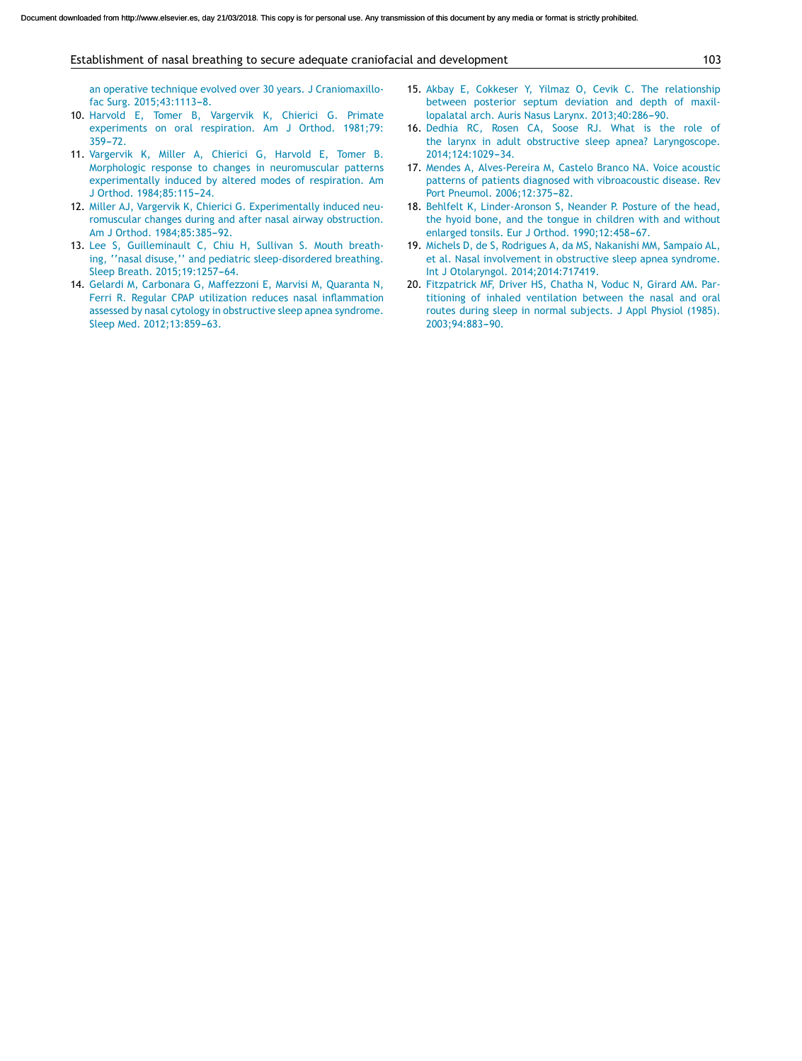#### Establishment of nasal breathing to secure adequate craniofacial and development 103

[an](http://refhub.elsevier.com/S0021-7557(17)30831-8/sbref0145) [operative](http://refhub.elsevier.com/S0021-7557(17)30831-8/sbref0145) [technique](http://refhub.elsevier.com/S0021-7557(17)30831-8/sbref0145) [evolved](http://refhub.elsevier.com/S0021-7557(17)30831-8/sbref0145) [over](http://refhub.elsevier.com/S0021-7557(17)30831-8/sbref0145) [30](http://refhub.elsevier.com/S0021-7557(17)30831-8/sbref0145) [years.](http://refhub.elsevier.com/S0021-7557(17)30831-8/sbref0145) [J](http://refhub.elsevier.com/S0021-7557(17)30831-8/sbref0145) [Craniomaxillo](http://refhub.elsevier.com/S0021-7557(17)30831-8/sbref0145)[fac](http://refhub.elsevier.com/S0021-7557(17)30831-8/sbref0145) [Surg.](http://refhub.elsevier.com/S0021-7557(17)30831-8/sbref0145) [2015;43:1113](http://refhub.elsevier.com/S0021-7557(17)30831-8/sbref0145)-[8.](http://refhub.elsevier.com/S0021-7557(17)30831-8/sbref0145)

- 10. [Harvold](http://refhub.elsevier.com/S0021-7557(17)30831-8/sbref0150) [E,](http://refhub.elsevier.com/S0021-7557(17)30831-8/sbref0150) [Tomer](http://refhub.elsevier.com/S0021-7557(17)30831-8/sbref0150) [B,](http://refhub.elsevier.com/S0021-7557(17)30831-8/sbref0150) [Vargervik](http://refhub.elsevier.com/S0021-7557(17)30831-8/sbref0150) [K,](http://refhub.elsevier.com/S0021-7557(17)30831-8/sbref0150) [Chierici](http://refhub.elsevier.com/S0021-7557(17)30831-8/sbref0150) [G.](http://refhub.elsevier.com/S0021-7557(17)30831-8/sbref0150) [Primate](http://refhub.elsevier.com/S0021-7557(17)30831-8/sbref0150) [experiments](http://refhub.elsevier.com/S0021-7557(17)30831-8/sbref0150) [on](http://refhub.elsevier.com/S0021-7557(17)30831-8/sbref0150) [oral](http://refhub.elsevier.com/S0021-7557(17)30831-8/sbref0150) [respiration.](http://refhub.elsevier.com/S0021-7557(17)30831-8/sbref0150) [Am](http://refhub.elsevier.com/S0021-7557(17)30831-8/sbref0150) [J](http://refhub.elsevier.com/S0021-7557(17)30831-8/sbref0150) [Orthod.](http://refhub.elsevier.com/S0021-7557(17)30831-8/sbref0150) [1981;79:](http://refhub.elsevier.com/S0021-7557(17)30831-8/sbref0150) [359](http://refhub.elsevier.com/S0021-7557(17)30831-8/sbref0150)-[72.](http://refhub.elsevier.com/S0021-7557(17)30831-8/sbref0150)
- 11. [Vargervik](http://refhub.elsevier.com/S0021-7557(17)30831-8/sbref0155) [K,](http://refhub.elsevier.com/S0021-7557(17)30831-8/sbref0155) [Miller](http://refhub.elsevier.com/S0021-7557(17)30831-8/sbref0155) [A,](http://refhub.elsevier.com/S0021-7557(17)30831-8/sbref0155) [Chierici](http://refhub.elsevier.com/S0021-7557(17)30831-8/sbref0155) [G,](http://refhub.elsevier.com/S0021-7557(17)30831-8/sbref0155) [Harvold](http://refhub.elsevier.com/S0021-7557(17)30831-8/sbref0155) [E,](http://refhub.elsevier.com/S0021-7557(17)30831-8/sbref0155) [Tomer](http://refhub.elsevier.com/S0021-7557(17)30831-8/sbref0155) [B.](http://refhub.elsevier.com/S0021-7557(17)30831-8/sbref0155) [Morphologic](http://refhub.elsevier.com/S0021-7557(17)30831-8/sbref0155) [response](http://refhub.elsevier.com/S0021-7557(17)30831-8/sbref0155) [to](http://refhub.elsevier.com/S0021-7557(17)30831-8/sbref0155) [changes](http://refhub.elsevier.com/S0021-7557(17)30831-8/sbref0155) [in](http://refhub.elsevier.com/S0021-7557(17)30831-8/sbref0155) [neuromuscular](http://refhub.elsevier.com/S0021-7557(17)30831-8/sbref0155) [patterns](http://refhub.elsevier.com/S0021-7557(17)30831-8/sbref0155) [experimentally](http://refhub.elsevier.com/S0021-7557(17)30831-8/sbref0155) [induced](http://refhub.elsevier.com/S0021-7557(17)30831-8/sbref0155) [by](http://refhub.elsevier.com/S0021-7557(17)30831-8/sbref0155) [altered](http://refhub.elsevier.com/S0021-7557(17)30831-8/sbref0155) [modes](http://refhub.elsevier.com/S0021-7557(17)30831-8/sbref0155) [of](http://refhub.elsevier.com/S0021-7557(17)30831-8/sbref0155) [respiration.](http://refhub.elsevier.com/S0021-7557(17)30831-8/sbref0155) [Am](http://refhub.elsevier.com/S0021-7557(17)30831-8/sbref0155) [J](http://refhub.elsevier.com/S0021-7557(17)30831-8/sbref0155) [Orthod.](http://refhub.elsevier.com/S0021-7557(17)30831-8/sbref0155) 1984;85:115-24.
- 12. [Miller](http://refhub.elsevier.com/S0021-7557(17)30831-8/sbref0160) [AJ,](http://refhub.elsevier.com/S0021-7557(17)30831-8/sbref0160) [Vargervik](http://refhub.elsevier.com/S0021-7557(17)30831-8/sbref0160) [K,](http://refhub.elsevier.com/S0021-7557(17)30831-8/sbref0160) [Chierici](http://refhub.elsevier.com/S0021-7557(17)30831-8/sbref0160) [G.](http://refhub.elsevier.com/S0021-7557(17)30831-8/sbref0160) [Experimentally](http://refhub.elsevier.com/S0021-7557(17)30831-8/sbref0160) [induced](http://refhub.elsevier.com/S0021-7557(17)30831-8/sbref0160) [neu](http://refhub.elsevier.com/S0021-7557(17)30831-8/sbref0160)[romuscular](http://refhub.elsevier.com/S0021-7557(17)30831-8/sbref0160) [changes](http://refhub.elsevier.com/S0021-7557(17)30831-8/sbref0160) [during](http://refhub.elsevier.com/S0021-7557(17)30831-8/sbref0160) [and](http://refhub.elsevier.com/S0021-7557(17)30831-8/sbref0160) [after](http://refhub.elsevier.com/S0021-7557(17)30831-8/sbref0160) [nasal](http://refhub.elsevier.com/S0021-7557(17)30831-8/sbref0160) [airway](http://refhub.elsevier.com/S0021-7557(17)30831-8/sbref0160) [obstruction.](http://refhub.elsevier.com/S0021-7557(17)30831-8/sbref0160) [Am](http://refhub.elsevier.com/S0021-7557(17)30831-8/sbref0160) [J](http://refhub.elsevier.com/S0021-7557(17)30831-8/sbref0160) [Orthod.](http://refhub.elsevier.com/S0021-7557(17)30831-8/sbref0160) 1984;85:385-92.
- 13. [Lee](http://refhub.elsevier.com/S0021-7557(17)30831-8/sbref0165) [S,](http://refhub.elsevier.com/S0021-7557(17)30831-8/sbref0165) [Guilleminault](http://refhub.elsevier.com/S0021-7557(17)30831-8/sbref0165) [C,](http://refhub.elsevier.com/S0021-7557(17)30831-8/sbref0165) [Chiu](http://refhub.elsevier.com/S0021-7557(17)30831-8/sbref0165) [H,](http://refhub.elsevier.com/S0021-7557(17)30831-8/sbref0165) [Sullivan](http://refhub.elsevier.com/S0021-7557(17)30831-8/sbref0165) [S.](http://refhub.elsevier.com/S0021-7557(17)30831-8/sbref0165) [Mouth](http://refhub.elsevier.com/S0021-7557(17)30831-8/sbref0165) [breath](http://refhub.elsevier.com/S0021-7557(17)30831-8/sbref0165)[ing,](http://refhub.elsevier.com/S0021-7557(17)30831-8/sbref0165) [''nasal](http://refhub.elsevier.com/S0021-7557(17)30831-8/sbref0165) [disuse,''](http://refhub.elsevier.com/S0021-7557(17)30831-8/sbref0165) [and](http://refhub.elsevier.com/S0021-7557(17)30831-8/sbref0165) [pediatric](http://refhub.elsevier.com/S0021-7557(17)30831-8/sbref0165) [sleep-disordered](http://refhub.elsevier.com/S0021-7557(17)30831-8/sbref0165) [breathing.](http://refhub.elsevier.com/S0021-7557(17)30831-8/sbref0165) [Sleep](http://refhub.elsevier.com/S0021-7557(17)30831-8/sbref0165) [Breath.](http://refhub.elsevier.com/S0021-7557(17)30831-8/sbref0165) 2015;19:1257-64.
- 14. [Gelardi](http://refhub.elsevier.com/S0021-7557(17)30831-8/sbref0170) [M,](http://refhub.elsevier.com/S0021-7557(17)30831-8/sbref0170) [Carbonara](http://refhub.elsevier.com/S0021-7557(17)30831-8/sbref0170) [G,](http://refhub.elsevier.com/S0021-7557(17)30831-8/sbref0170) [Maffezzoni](http://refhub.elsevier.com/S0021-7557(17)30831-8/sbref0170) [E,](http://refhub.elsevier.com/S0021-7557(17)30831-8/sbref0170) [Marvisi](http://refhub.elsevier.com/S0021-7557(17)30831-8/sbref0170) [M,](http://refhub.elsevier.com/S0021-7557(17)30831-8/sbref0170) [Quaranta](http://refhub.elsevier.com/S0021-7557(17)30831-8/sbref0170) [N,](http://refhub.elsevier.com/S0021-7557(17)30831-8/sbref0170) [Ferri](http://refhub.elsevier.com/S0021-7557(17)30831-8/sbref0170) [R.](http://refhub.elsevier.com/S0021-7557(17)30831-8/sbref0170) [Regular](http://refhub.elsevier.com/S0021-7557(17)30831-8/sbref0170) [CPAP](http://refhub.elsevier.com/S0021-7557(17)30831-8/sbref0170) [utilization](http://refhub.elsevier.com/S0021-7557(17)30831-8/sbref0170) [reduces](http://refhub.elsevier.com/S0021-7557(17)30831-8/sbref0170) [nasal](http://refhub.elsevier.com/S0021-7557(17)30831-8/sbref0170) [inflammation](http://refhub.elsevier.com/S0021-7557(17)30831-8/sbref0170) [assessed](http://refhub.elsevier.com/S0021-7557(17)30831-8/sbref0170) [by](http://refhub.elsevier.com/S0021-7557(17)30831-8/sbref0170) [nasal](http://refhub.elsevier.com/S0021-7557(17)30831-8/sbref0170) [cytology](http://refhub.elsevier.com/S0021-7557(17)30831-8/sbref0170) [in](http://refhub.elsevier.com/S0021-7557(17)30831-8/sbref0170) [obstructive](http://refhub.elsevier.com/S0021-7557(17)30831-8/sbref0170) [sleep](http://refhub.elsevier.com/S0021-7557(17)30831-8/sbref0170) [apnea](http://refhub.elsevier.com/S0021-7557(17)30831-8/sbref0170) [syndrome.](http://refhub.elsevier.com/S0021-7557(17)30831-8/sbref0170) [Sleep](http://refhub.elsevier.com/S0021-7557(17)30831-8/sbref0170) [Med.](http://refhub.elsevier.com/S0021-7557(17)30831-8/sbref0170) 2012;13:859-63.
- 15. [Akbay](http://refhub.elsevier.com/S0021-7557(17)30831-8/sbref0175) [E,](http://refhub.elsevier.com/S0021-7557(17)30831-8/sbref0175) [Cokkeser](http://refhub.elsevier.com/S0021-7557(17)30831-8/sbref0175) [Y,](http://refhub.elsevier.com/S0021-7557(17)30831-8/sbref0175) [Yilmaz](http://refhub.elsevier.com/S0021-7557(17)30831-8/sbref0175) [O,](http://refhub.elsevier.com/S0021-7557(17)30831-8/sbref0175) [Cevik](http://refhub.elsevier.com/S0021-7557(17)30831-8/sbref0175) [C.](http://refhub.elsevier.com/S0021-7557(17)30831-8/sbref0175) [The](http://refhub.elsevier.com/S0021-7557(17)30831-8/sbref0175) [relationship](http://refhub.elsevier.com/S0021-7557(17)30831-8/sbref0175) [between](http://refhub.elsevier.com/S0021-7557(17)30831-8/sbref0175) [posterior](http://refhub.elsevier.com/S0021-7557(17)30831-8/sbref0175) [septum](http://refhub.elsevier.com/S0021-7557(17)30831-8/sbref0175) [deviation](http://refhub.elsevier.com/S0021-7557(17)30831-8/sbref0175) [and](http://refhub.elsevier.com/S0021-7557(17)30831-8/sbref0175) [depth](http://refhub.elsevier.com/S0021-7557(17)30831-8/sbref0175) [of](http://refhub.elsevier.com/S0021-7557(17)30831-8/sbref0175) [maxil](http://refhub.elsevier.com/S0021-7557(17)30831-8/sbref0175)[lopalatal](http://refhub.elsevier.com/S0021-7557(17)30831-8/sbref0175) [arch.](http://refhub.elsevier.com/S0021-7557(17)30831-8/sbref0175) [Auris](http://refhub.elsevier.com/S0021-7557(17)30831-8/sbref0175) [Nasus](http://refhub.elsevier.com/S0021-7557(17)30831-8/sbref0175) [Larynx.](http://refhub.elsevier.com/S0021-7557(17)30831-8/sbref0175) [2013;40:286](http://refhub.elsevier.com/S0021-7557(17)30831-8/sbref0175)-[90.](http://refhub.elsevier.com/S0021-7557(17)30831-8/sbref0175)
- 16. [Dedhia](http://refhub.elsevier.com/S0021-7557(17)30831-8/sbref0180) [RC,](http://refhub.elsevier.com/S0021-7557(17)30831-8/sbref0180) [Rosen](http://refhub.elsevier.com/S0021-7557(17)30831-8/sbref0180) [CA,](http://refhub.elsevier.com/S0021-7557(17)30831-8/sbref0180) [Soose](http://refhub.elsevier.com/S0021-7557(17)30831-8/sbref0180) [RJ.](http://refhub.elsevier.com/S0021-7557(17)30831-8/sbref0180) [What](http://refhub.elsevier.com/S0021-7557(17)30831-8/sbref0180) [is](http://refhub.elsevier.com/S0021-7557(17)30831-8/sbref0180) [the](http://refhub.elsevier.com/S0021-7557(17)30831-8/sbref0180) [role](http://refhub.elsevier.com/S0021-7557(17)30831-8/sbref0180) [of](http://refhub.elsevier.com/S0021-7557(17)30831-8/sbref0180) [the](http://refhub.elsevier.com/S0021-7557(17)30831-8/sbref0180) [larynx](http://refhub.elsevier.com/S0021-7557(17)30831-8/sbref0180) [in](http://refhub.elsevier.com/S0021-7557(17)30831-8/sbref0180) [adult](http://refhub.elsevier.com/S0021-7557(17)30831-8/sbref0180) [obstructive](http://refhub.elsevier.com/S0021-7557(17)30831-8/sbref0180) [sleep](http://refhub.elsevier.com/S0021-7557(17)30831-8/sbref0180) [apnea?](http://refhub.elsevier.com/S0021-7557(17)30831-8/sbref0180) [Laryngoscope.](http://refhub.elsevier.com/S0021-7557(17)30831-8/sbref0180) [2014;124:1029](http://refhub.elsevier.com/S0021-7557(17)30831-8/sbref0180)-[34.](http://refhub.elsevier.com/S0021-7557(17)30831-8/sbref0180)
- 17. [Mendes](http://refhub.elsevier.com/S0021-7557(17)30831-8/sbref0185) [A,](http://refhub.elsevier.com/S0021-7557(17)30831-8/sbref0185) [Alves-Pereira](http://refhub.elsevier.com/S0021-7557(17)30831-8/sbref0185) [M,](http://refhub.elsevier.com/S0021-7557(17)30831-8/sbref0185) [Castelo](http://refhub.elsevier.com/S0021-7557(17)30831-8/sbref0185) [Branco](http://refhub.elsevier.com/S0021-7557(17)30831-8/sbref0185) [NA.](http://refhub.elsevier.com/S0021-7557(17)30831-8/sbref0185) [Voice](http://refhub.elsevier.com/S0021-7557(17)30831-8/sbref0185) [acoustic](http://refhub.elsevier.com/S0021-7557(17)30831-8/sbref0185) [patterns](http://refhub.elsevier.com/S0021-7557(17)30831-8/sbref0185) [of](http://refhub.elsevier.com/S0021-7557(17)30831-8/sbref0185) [patients](http://refhub.elsevier.com/S0021-7557(17)30831-8/sbref0185) [diagnosed](http://refhub.elsevier.com/S0021-7557(17)30831-8/sbref0185) [with](http://refhub.elsevier.com/S0021-7557(17)30831-8/sbref0185) [vibroacoustic](http://refhub.elsevier.com/S0021-7557(17)30831-8/sbref0185) [disease.](http://refhub.elsevier.com/S0021-7557(17)30831-8/sbref0185) [Rev](http://refhub.elsevier.com/S0021-7557(17)30831-8/sbref0185) [Port](http://refhub.elsevier.com/S0021-7557(17)30831-8/sbref0185) [Pneumol.](http://refhub.elsevier.com/S0021-7557(17)30831-8/sbref0185) 2006;12:375-82.
- 18. [Behlfelt](http://refhub.elsevier.com/S0021-7557(17)30831-8/sbref0190) [K,](http://refhub.elsevier.com/S0021-7557(17)30831-8/sbref0190) [Linder-Aronson](http://refhub.elsevier.com/S0021-7557(17)30831-8/sbref0190) [S,](http://refhub.elsevier.com/S0021-7557(17)30831-8/sbref0190) [Neander](http://refhub.elsevier.com/S0021-7557(17)30831-8/sbref0190) [P.](http://refhub.elsevier.com/S0021-7557(17)30831-8/sbref0190) [Posture](http://refhub.elsevier.com/S0021-7557(17)30831-8/sbref0190) [of](http://refhub.elsevier.com/S0021-7557(17)30831-8/sbref0190) [the](http://refhub.elsevier.com/S0021-7557(17)30831-8/sbref0190) [head,](http://refhub.elsevier.com/S0021-7557(17)30831-8/sbref0190) [the](http://refhub.elsevier.com/S0021-7557(17)30831-8/sbref0190) [hyoid](http://refhub.elsevier.com/S0021-7557(17)30831-8/sbref0190) [bone,](http://refhub.elsevier.com/S0021-7557(17)30831-8/sbref0190) [and](http://refhub.elsevier.com/S0021-7557(17)30831-8/sbref0190) [the](http://refhub.elsevier.com/S0021-7557(17)30831-8/sbref0190) [tongue](http://refhub.elsevier.com/S0021-7557(17)30831-8/sbref0190) [in](http://refhub.elsevier.com/S0021-7557(17)30831-8/sbref0190) [children](http://refhub.elsevier.com/S0021-7557(17)30831-8/sbref0190) [with](http://refhub.elsevier.com/S0021-7557(17)30831-8/sbref0190) [and](http://refhub.elsevier.com/S0021-7557(17)30831-8/sbref0190) [without](http://refhub.elsevier.com/S0021-7557(17)30831-8/sbref0190) [enlarged](http://refhub.elsevier.com/S0021-7557(17)30831-8/sbref0190) [tonsils.](http://refhub.elsevier.com/S0021-7557(17)30831-8/sbref0190) [Eur](http://refhub.elsevier.com/S0021-7557(17)30831-8/sbref0190) [J](http://refhub.elsevier.com/S0021-7557(17)30831-8/sbref0190) [Orthod.](http://refhub.elsevier.com/S0021-7557(17)30831-8/sbref0190) 1990;12:458-67.
- 19. [Michels](http://refhub.elsevier.com/S0021-7557(17)30831-8/sbref0195) [D,](http://refhub.elsevier.com/S0021-7557(17)30831-8/sbref0195) [de](http://refhub.elsevier.com/S0021-7557(17)30831-8/sbref0195) [S,](http://refhub.elsevier.com/S0021-7557(17)30831-8/sbref0195) [Rodrigues](http://refhub.elsevier.com/S0021-7557(17)30831-8/sbref0195) [A,](http://refhub.elsevier.com/S0021-7557(17)30831-8/sbref0195) [da](http://refhub.elsevier.com/S0021-7557(17)30831-8/sbref0195) [MS,](http://refhub.elsevier.com/S0021-7557(17)30831-8/sbref0195) [Nakanishi](http://refhub.elsevier.com/S0021-7557(17)30831-8/sbref0195) [MM,](http://refhub.elsevier.com/S0021-7557(17)30831-8/sbref0195) [Sampaio](http://refhub.elsevier.com/S0021-7557(17)30831-8/sbref0195) [AL,](http://refhub.elsevier.com/S0021-7557(17)30831-8/sbref0195) [et](http://refhub.elsevier.com/S0021-7557(17)30831-8/sbref0195) [al.](http://refhub.elsevier.com/S0021-7557(17)30831-8/sbref0195) [Nasal](http://refhub.elsevier.com/S0021-7557(17)30831-8/sbref0195) [involvement](http://refhub.elsevier.com/S0021-7557(17)30831-8/sbref0195) [in](http://refhub.elsevier.com/S0021-7557(17)30831-8/sbref0195) [obstructive](http://refhub.elsevier.com/S0021-7557(17)30831-8/sbref0195) [sleep](http://refhub.elsevier.com/S0021-7557(17)30831-8/sbref0195) [apnea](http://refhub.elsevier.com/S0021-7557(17)30831-8/sbref0195) [syndrome.](http://refhub.elsevier.com/S0021-7557(17)30831-8/sbref0195) [Int](http://refhub.elsevier.com/S0021-7557(17)30831-8/sbref0195) [J](http://refhub.elsevier.com/S0021-7557(17)30831-8/sbref0195) [Otolaryngol.](http://refhub.elsevier.com/S0021-7557(17)30831-8/sbref0195) [2014;2014:717419.](http://refhub.elsevier.com/S0021-7557(17)30831-8/sbref0195)
- 20. [Fitzpatrick](http://refhub.elsevier.com/S0021-7557(17)30831-8/sbref0200) [MF,](http://refhub.elsevier.com/S0021-7557(17)30831-8/sbref0200) [Driver](http://refhub.elsevier.com/S0021-7557(17)30831-8/sbref0200) [HS,](http://refhub.elsevier.com/S0021-7557(17)30831-8/sbref0200) [Chatha](http://refhub.elsevier.com/S0021-7557(17)30831-8/sbref0200) [N,](http://refhub.elsevier.com/S0021-7557(17)30831-8/sbref0200) [Voduc](http://refhub.elsevier.com/S0021-7557(17)30831-8/sbref0200) [N,](http://refhub.elsevier.com/S0021-7557(17)30831-8/sbref0200) [Girard](http://refhub.elsevier.com/S0021-7557(17)30831-8/sbref0200) [AM.](http://refhub.elsevier.com/S0021-7557(17)30831-8/sbref0200) [Par](http://refhub.elsevier.com/S0021-7557(17)30831-8/sbref0200)[titioning](http://refhub.elsevier.com/S0021-7557(17)30831-8/sbref0200) [of](http://refhub.elsevier.com/S0021-7557(17)30831-8/sbref0200) [inhaled](http://refhub.elsevier.com/S0021-7557(17)30831-8/sbref0200) [ventilation](http://refhub.elsevier.com/S0021-7557(17)30831-8/sbref0200) [between](http://refhub.elsevier.com/S0021-7557(17)30831-8/sbref0200) [the](http://refhub.elsevier.com/S0021-7557(17)30831-8/sbref0200) [nasal](http://refhub.elsevier.com/S0021-7557(17)30831-8/sbref0200) [and](http://refhub.elsevier.com/S0021-7557(17)30831-8/sbref0200) [oral](http://refhub.elsevier.com/S0021-7557(17)30831-8/sbref0200) [routes](http://refhub.elsevier.com/S0021-7557(17)30831-8/sbref0200) [during](http://refhub.elsevier.com/S0021-7557(17)30831-8/sbref0200) [sleep](http://refhub.elsevier.com/S0021-7557(17)30831-8/sbref0200) [in](http://refhub.elsevier.com/S0021-7557(17)30831-8/sbref0200) [normal](http://refhub.elsevier.com/S0021-7557(17)30831-8/sbref0200) [subjects.](http://refhub.elsevier.com/S0021-7557(17)30831-8/sbref0200) [J](http://refhub.elsevier.com/S0021-7557(17)30831-8/sbref0200) [Appl](http://refhub.elsevier.com/S0021-7557(17)30831-8/sbref0200) [Physiol](http://refhub.elsevier.com/S0021-7557(17)30831-8/sbref0200) [\(1985\).](http://refhub.elsevier.com/S0021-7557(17)30831-8/sbref0200) 2003;94:883-90.